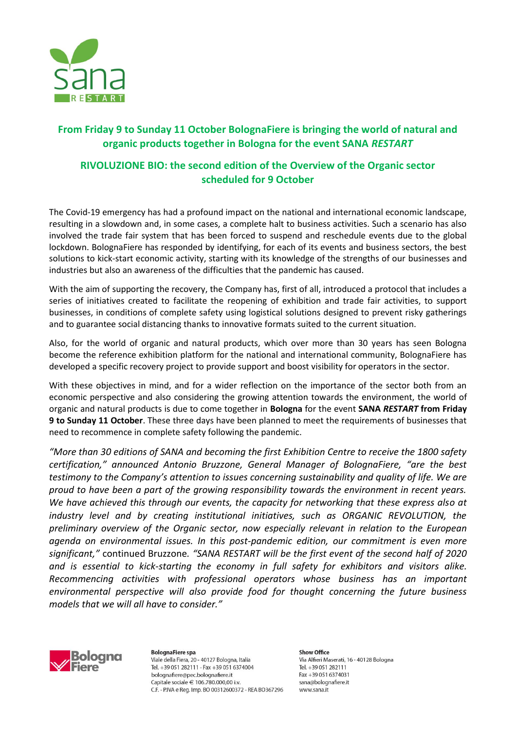

# **From Friday 9 to Sunday 11 October BolognaFiere is bringing the world of natural and organic products together in Bologna for the event SANA** *RESTART*

# **RIVOLUZIONE BIO: the second edition of the Overview of the Organic sector scheduled for 9 October**

The Covid-19 emergency has had a profound impact on the national and international economic landscape, resulting in a slowdown and, in some cases, a complete halt to business activities. Such a scenario has also involved the trade fair system that has been forced to suspend and reschedule events due to the global lockdown. BolognaFiere has responded by identifying, for each of its events and business sectors, the best solutions to kick-start economic activity, starting with its knowledge of the strengths of our businesses and industries but also an awareness of the difficulties that the pandemic has caused.

With the aim of supporting the recovery, the Company has, first of all, introduced a protocol that includes a series of initiatives created to facilitate the reopening of exhibition and trade fair activities, to support businesses, in conditions of complete safety using logistical solutions designed to prevent risky gatherings and to guarantee social distancing thanks to innovative formats suited to the current situation.

Also, for the world of organic and natural products, which over more than 30 years has seen Bologna become the reference exhibition platform for the national and international community, BolognaFiere has developed a specific recovery project to provide support and boost visibility for operators in the sector.

With these objectives in mind, and for a wider reflection on the importance of the sector both from an economic perspective and also considering the growing attention towards the environment, the world of organic and natural products is due to come together in **Bologna** for the event **SANA** *RESTART* **from Friday 9 to Sunday 11 October**. These three days have been planned to meet the requirements of businesses that need to recommence in complete safety following the pandemic.

*"More than 30 editions of SANA and becoming the first Exhibition Centre to receive the 1800 safety certification," announced Antonio Bruzzone, General Manager of BolognaFiere, "are the best testimony to the Company's attention to issues concerning sustainability and quality of life. We are proud to have been a part of the growing responsibility towards the environment in recent years. We have achieved this through our events, the capacity for networking that these express also at industry level and by creating institutional initiatives, such as ORGANIC REVOLUTION, the preliminary overview of the Organic sector, now especially relevant in relation to the European agenda on environmental issues. In this post-pandemic edition, our commitment is even more significant,"* continued Bruzzone*. "SANA RESTART will be the first event of the second half of 2020 and is essential to kick-starting the economy in full safety for exhibitors and visitors alike. Recommencing activities with professional operators whose business has an important environmental perspective will also provide food for thought concerning the future business models that we will all have to consider."*



**BolognaFiere spa** Viale della Fiera, 20 - 40127 Bologna, Italia Tel. +39 051 282111 - Fax +39 051 6374004 bolognafiere@pec.bolognafiere.it Capitale sociale € 106.780.000.00 i.v. C.F. - P.IVA e Reg. Imp. BO 00312600372 - REA BO367296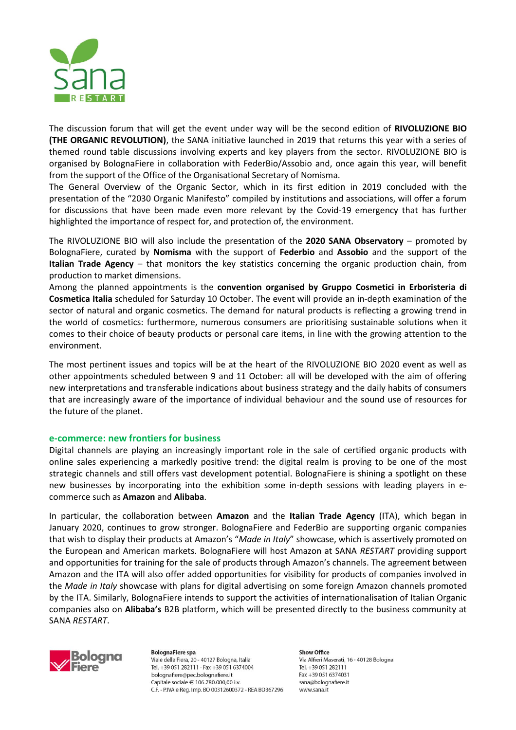

The discussion forum that will get the event under way will be the second edition of **RIVOLUZIONE BIO (THE ORGANIC REVOLUTION)**, the SANA initiative launched in 2019 that returns this year with a series of themed round table discussions involving experts and key players from the sector. RIVOLUZIONE BIO is organised by BolognaFiere in collaboration with FederBio/Assobio and, once again this year, will benefit from the support of the Office of the Organisational Secretary of Nomisma.

The General Overview of the Organic Sector, which in its first edition in 2019 concluded with the presentation of the "2030 Organic Manifesto" compiled by institutions and associations, will offer a forum for discussions that have been made even more relevant by the Covid-19 emergency that has further highlighted the importance of respect for, and protection of, the environment.

The RIVOLUZIONE BIO will also include the presentation of the **2020 SANA Observatory** – promoted by BolognaFiere, curated by **Nomisma** with the support of **Federbio** and **Assobio** and the support of the **Italian Trade Agency** – that monitors the key statistics concerning the organic production chain, from production to market dimensions.

Among the planned appointments is the **convention organised by Gruppo Cosmetici in Erboristeria di Cosmetica Italia** scheduled for Saturday 10 October. The event will provide an in-depth examination of the sector of natural and organic cosmetics. The demand for natural products is reflecting a growing trend in the world of cosmetics: furthermore, numerous consumers are prioritising sustainable solutions when it comes to their choice of beauty products or personal care items, in line with the growing attention to the environment.

The most pertinent issues and topics will be at the heart of the RIVOLUZIONE BIO 2020 event as well as other appointments scheduled between 9 and 11 October: all will be developed with the aim of offering new interpretations and transferable indications about business strategy and the daily habits of consumers that are increasingly aware of the importance of individual behaviour and the sound use of resources for the future of the planet.

### **e-commerce: new frontiers for business**

Digital channels are playing an increasingly important role in the sale of certified organic products with online sales experiencing a markedly positive trend: the digital realm is proving to be one of the most strategic channels and still offers vast development potential. BolognaFiere is shining a spotlight on these new businesses by incorporating into the exhibition some in-depth sessions with leading players in ecommerce such as **Amazon** and **Alibaba**.

In particular, the collaboration between **Amazon** and the **Italian Trade Agency** (ITA), which began in January 2020, continues to grow stronger. BolognaFiere and FederBio are supporting organic companies that wish to display their products at Amazon's "*Made in Italy*" showcase, which is assertively promoted on the European and American markets. BolognaFiere will host Amazon at SANA *RESTART* providing support and opportunities for training for the sale of products through Amazon's channels. The agreement between Amazon and the ITA will also offer added opportunities for visibility for products of companies involved in the *Made in Italy* showcase with plans for digital advertising on some foreign Amazon channels promoted by the ITA. Similarly, BolognaFiere intends to support the activities of internationalisation of Italian Organic companies also on **Alibaba's** B2B platform, which will be presented directly to the business community at SANA *RESTART*.



**BolognaFiere spa** Viale della Fiera, 20 - 40127 Bologna, Italia Tel. +39 051 282111 - Fax +39 051 6374004 bolognafiere@pec.bolognafiere.it Capitale sociale  $\in$  106.780.000.00 i.v. C.F. - P.IVA e Rea. Imp. BO 00312600372 - REA BO367296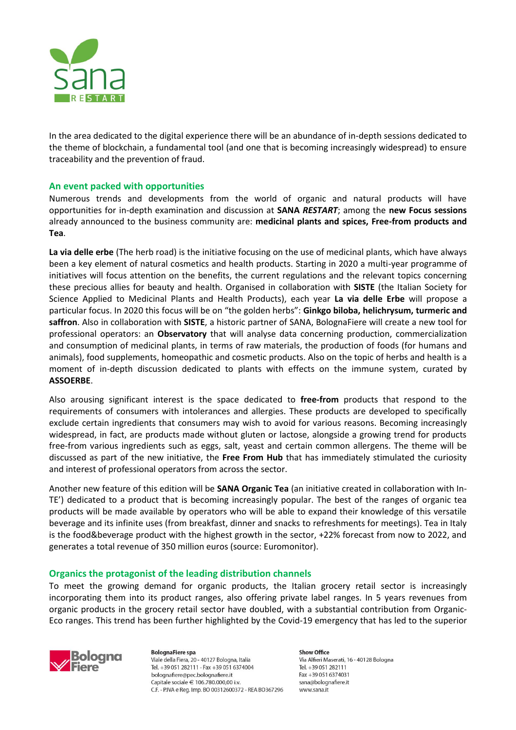

In the area dedicated to the digital experience there will be an abundance of in-depth sessions dedicated to the theme of blockchain, a fundamental tool (and one that is becoming increasingly widespread) to ensure traceability and the prevention of fraud.

## **An event packed with opportunities**

Numerous trends and developments from the world of organic and natural products will have opportunities for in-depth examination and discussion at **SANA** *RESTART*; among the **new Focus sessions** already announced to the business community are: **medicinal plants and spices, Free-from products and Tea**.

**La via delle erbe** (The herb road) is the initiative focusing on the use of medicinal plants, which have always been a key element of natural cosmetics and health products. Starting in 2020 a multi-year programme of initiatives will focus attention on the benefits, the current regulations and the relevant topics concerning these precious allies for beauty and health. Organised in collaboration with **SISTE** (the Italian Society for Science Applied to Medicinal Plants and Health Products), each year **La via delle Erbe** will propose a particular focus. In 2020 this focus will be on "the golden herbs": **Ginkgo biloba, helichrysum, turmeric and saffron**. Also in collaboration with **SISTE**, a historic partner of SANA, BolognaFiere will create a new tool for professional operators: an **Observatory** that will analyse data concerning production, commercialization and consumption of medicinal plants, in terms of raw materials, the production of foods (for humans and animals), food supplements, homeopathic and cosmetic products. Also on the topic of herbs and health is a moment of in-depth discussion dedicated to plants with effects on the immune system, curated by **ASSOERBE**.

Also arousing significant interest is the space dedicated to **free-from** products that respond to the requirements of consumers with intolerances and allergies. These products are developed to specifically exclude certain ingredients that consumers may wish to avoid for various reasons. Becoming increasingly widespread, in fact, are products made without gluten or lactose, alongside a growing trend for products free-from various ingredients such as eggs, salt, yeast and certain common allergens. The theme will be discussed as part of the new initiative, the **Free From Hub** that has immediately stimulated the curiosity and interest of professional operators from across the sector.

Another new feature of this edition will be **SANA Organic Tea** (an initiative created in collaboration with In-TE') dedicated to a product that is becoming increasingly popular. The best of the ranges of organic tea products will be made available by operators who will be able to expand their knowledge of this versatile beverage and its infinite uses (from breakfast, dinner and snacks to refreshments for meetings). Tea in Italy is the food&beverage product with the highest growth in the sector, +22% forecast from now to 2022, and generates a total revenue of 350 million euros (source: Euromonitor).

### **Organics the protagonist of the leading distribution channels**

To meet the growing demand for organic products, the Italian grocery retail sector is increasingly incorporating them into its product ranges, also offering private label ranges. In 5 years revenues from organic products in the grocery retail sector have doubled, with a substantial contribution from Organic-Eco ranges. This trend has been further highlighted by the Covid-19 emergency that has led to the superior



**BolognaFiere spa** Viale della Fiera, 20 - 40127 Bologna, Italia Tel. +39 051 282111 - Fax +39 051 6374004 bolognafiere@pec.bolognafiere.it Capitale sociale  $\in$  106.780.000.00 i.v. C.F. - P.IVA e Reg. Imp. BO 00312600372 - REA BO367296